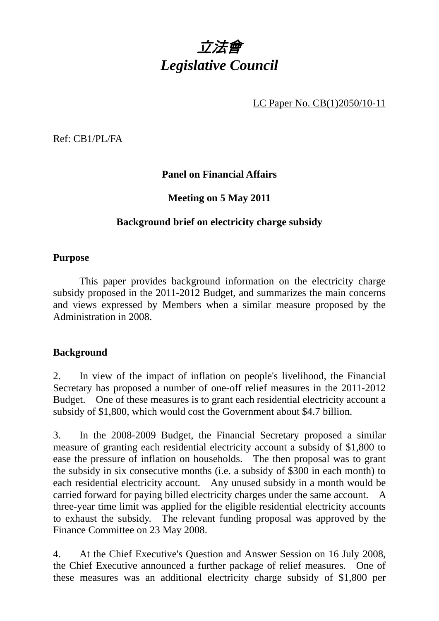

LC Paper No. CB(1)2050/10-11

Ref: CB1/PL/FA

# **Panel on Financial Affairs**

## **Meeting on 5 May 2011**

## **Background brief on electricity charge subsidy**

#### **Purpose**

 This paper provides background information on the electricity charge subsidy proposed in the 2011-2012 Budget, and summarizes the main concerns and views expressed by Members when a similar measure proposed by the Administration in 2008.

#### **Background**

2. In view of the impact of inflation on people's livelihood, the Financial Secretary has proposed a number of one-off relief measures in the 2011-2012 Budget. One of these measures is to grant each residential electricity account a subsidy of \$1,800, which would cost the Government about \$4.7 billion.

3. In the 2008-2009 Budget, the Financial Secretary proposed a similar measure of granting each residential electricity account a subsidy of \$1,800 to ease the pressure of inflation on households. The then proposal was to grant the subsidy in six consecutive months (i.e. a subsidy of \$300 in each month) to each residential electricity account. Any unused subsidy in a month would be carried forward for paying billed electricity charges under the same account. A three-year time limit was applied for the eligible residential electricity accounts to exhaust the subsidy. The relevant funding proposal was approved by the Finance Committee on 23 May 2008.

4. At the Chief Executive's Question and Answer Session on 16 July 2008, the Chief Executive announced a further package of relief measures. One of these measures was an additional electricity charge subsidy of \$1,800 per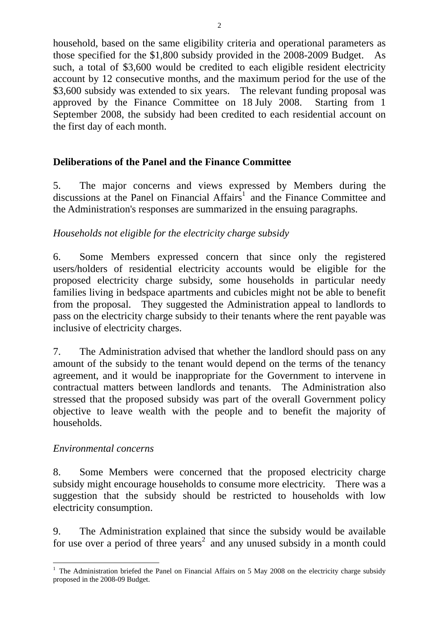household, based on the same eligibility criteria and operational parameters as those specified for the \$1,800 subsidy provided in the 2008-2009 Budget. As such, a total of \$3,600 would be credited to each eligible resident electricity account by 12 consecutive months, and the maximum period for the use of the \$3,600 subsidy was extended to six years. The relevant funding proposal was approved by the Finance Committee on 18 July 2008. Starting from 1 September 2008, the subsidy had been credited to each residential account on the first day of each month.

# **Deliberations of the Panel and the Finance Committee**

5. The major concerns and views expressed by Members during the discussions at the Panel on Financial Affairs<sup>1</sup> and the Finance Committee and the Administration's responses are summarized in the ensuing paragraphs.

## *Households not eligible for the electricity charge subsidy*

6. Some Members expressed concern that since only the registered users/holders of residential electricity accounts would be eligible for the proposed electricity charge subsidy, some households in particular needy families living in bedspace apartments and cubicles might not be able to benefit from the proposal. They suggested the Administration appeal to landlords to pass on the electricity charge subsidy to their tenants where the rent payable was inclusive of electricity charges.

7. The Administration advised that whether the landlord should pass on any amount of the subsidy to the tenant would depend on the terms of the tenancy agreement, and it would be inappropriate for the Government to intervene in contractual matters between landlords and tenants. The Administration also stressed that the proposed subsidy was part of the overall Government policy objective to leave wealth with the people and to benefit the majority of households.

#### *Environmental concerns*

8. Some Members were concerned that the proposed electricity charge subsidy might encourage households to consume more electricity. There was a suggestion that the subsidy should be restricted to households with low electricity consumption.

9. The Administration explained that since the subsidy would be available for use over a period of three years<sup>2</sup> and any unused subsidy in a month could

<sup>1</sup> <sup>1</sup> The Administration briefed the Panel on Financial Affairs on 5 May 2008 on the electricity charge subsidy proposed in the 2008-09 Budget.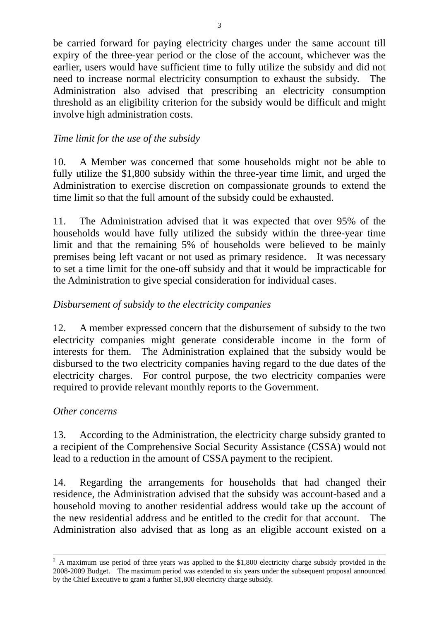be carried forward for paying electricity charges under the same account till expiry of the three-year period or the close of the account, whichever was the earlier, users would have sufficient time to fully utilize the subsidy and did not need to increase normal electricity consumption to exhaust the subsidy. The Administration also advised that prescribing an electricity consumption threshold as an eligibility criterion for the subsidy would be difficult and might involve high administration costs.

# *Time limit for the use of the subsidy*

10. A Member was concerned that some households might not be able to fully utilize the \$1,800 subsidy within the three-year time limit, and urged the Administration to exercise discretion on compassionate grounds to extend the time limit so that the full amount of the subsidy could be exhausted.

11. The Administration advised that it was expected that over 95% of the households would have fully utilized the subsidy within the three-year time limit and that the remaining 5% of households were believed to be mainly premises being left vacant or not used as primary residence. It was necessary to set a time limit for the one-off subsidy and that it would be impracticable for the Administration to give special consideration for individual cases.

## *Disbursement of subsidy to the electricity companies*

12. A member expressed concern that the disbursement of subsidy to the two electricity companies might generate considerable income in the form of interests for them. The Administration explained that the subsidy would be disbursed to the two electricity companies having regard to the due dates of the electricity charges. For control purpose, the two electricity companies were required to provide relevant monthly reports to the Government.

#### *Other concerns*

13. According to the Administration, the electricity charge subsidy granted to a recipient of the Comprehensive Social Security Assistance (CSSA) would not lead to a reduction in the amount of CSSA payment to the recipient.

14. Regarding the arrangements for households that had changed their residence, the Administration advised that the subsidy was account-based and a household moving to another residential address would take up the account of the new residential address and be entitled to the credit for that account. The Administration also advised that as long as an eligible account existed on a

 $\frac{1}{2}$  A maximum use period of three years was applied to the \$1,800 electricity charge subsidy provided in the 2008-2009 Budget. The maximum period was extended to six years under the subsequent proposal announced by the Chief Executive to grant a further \$1,800 electricity charge subsidy.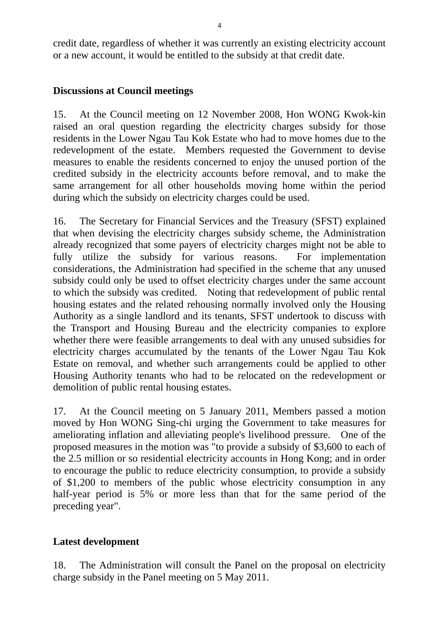credit date, regardless of whether it was currently an existing electricity account or a new account, it would be entitled to the subsidy at that credit date.

# **Discussions at Council meetings**

15. At the Council meeting on 12 November 2008, Hon WONG Kwok-kin raised an oral question regarding the electricity charges subsidy for those residents in the Lower Ngau Tau Kok Estate who had to move homes due to the redevelopment of the estate. Members requested the Government to devise measures to enable the residents concerned to enjoy the unused portion of the credited subsidy in the electricity accounts before removal, and to make the same arrangement for all other households moving home within the period during which the subsidy on electricity charges could be used.

16. The Secretary for Financial Services and the Treasury (SFST) explained that when devising the electricity charges subsidy scheme, the Administration already recognized that some payers of electricity charges might not be able to fully utilize the subsidy for various reasons. For implementation considerations, the Administration had specified in the scheme that any unused subsidy could only be used to offset electricity charges under the same account to which the subsidy was credited. Noting that redevelopment of public rental housing estates and the related rehousing normally involved only the Housing Authority as a single landlord and its tenants, SFST undertook to discuss with the Transport and Housing Bureau and the electricity companies to explore whether there were feasible arrangements to deal with any unused subsidies for electricity charges accumulated by the tenants of the Lower Ngau Tau Kok Estate on removal, and whether such arrangements could be applied to other Housing Authority tenants who had to be relocated on the redevelopment or demolition of public rental housing estates.

17. At the Council meeting on 5 January 2011, Members passed a motion moved by Hon WONG Sing-chi urging the Government to take measures for ameliorating inflation and alleviating people's livelihood pressure. One of the proposed measures in the motion was "to provide a subsidy of \$3,600 to each of the 2.5 million or so residential electricity accounts in Hong Kong; and in order to encourage the public to reduce electricity consumption, to provide a subsidy of \$1,200 to members of the public whose electricity consumption in any half-year period is 5% or more less than that for the same period of the preceding year".

# **Latest development**

18. The Administration will consult the Panel on the proposal on electricity charge subsidy in the Panel meeting on 5 May 2011.